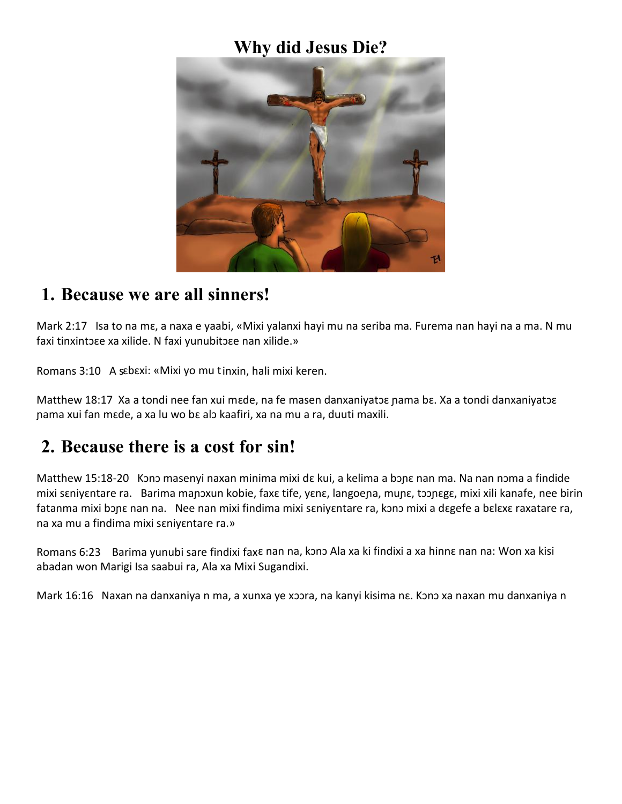#### **Why did Jesus Die?**



#### **1. Because we are all sinners!**

Mark 2:17 Isa to na mɛ, a naxa e yaabi, «Mixi yalanxi hayi mu na seriba ma. Furema nan hayi na a ma. N mu faxi tinxintɔɛe xa xilide. N faxi yunubitɔɛe nan xilide.»

Romans 3:10 A sɛbɛxi: «Mixi yo mu tinxin, hali mixi keren.

Matthew 18:17 Xa a tondi nee fan xui mɛde, na fe masen danxaniyatɔɛ nama bɛ. Xa a tondi danxaniyatɔɛ ɲama xui fan mɛde, a xa lu wo bɛ alɔ kaafiri, xa na mu a ra, duuti maxili.

## **2. Because there is a cost for sin!**

Matthew 15:18-20 Kono masenyi naxan minima mixi dɛ kui, a kelima a bɔɲɛ nan ma. Na nan nɔma a findide mixi sɛniyɛntare ra. Barima maɲɔxun kobie, faxɛ tife, yɛnɛ, langoeɲa, muɲɛ, tɔɔɲɛgɛ, mixi xili kanafe, nee birin fatanma mixi bɔɲɛ nan na. Nee nan mixi findima mixi sɛniyɛntare ra, kɔnɔ mixi a dɛgefe a bɛlɛxɛ raxatare ra, na xa mu a findima mixi sɛniyɛntare ra.»

Romans 6:23 Barima yunubi sare findixi faxɛ nan na, kɔnɔ Ala xa ki findixi a xa hinnɛ nan na: Won xa kisi abadan won Marigi Isa saabui ra, Ala xa Mixi Sugandixi.

Mark 16:16 Naxan na danxaniya n ma, a xunxa ye xɔɔra, na kanyi kisima nɛ. Kɔnɔ xa naxan mu danxaniya n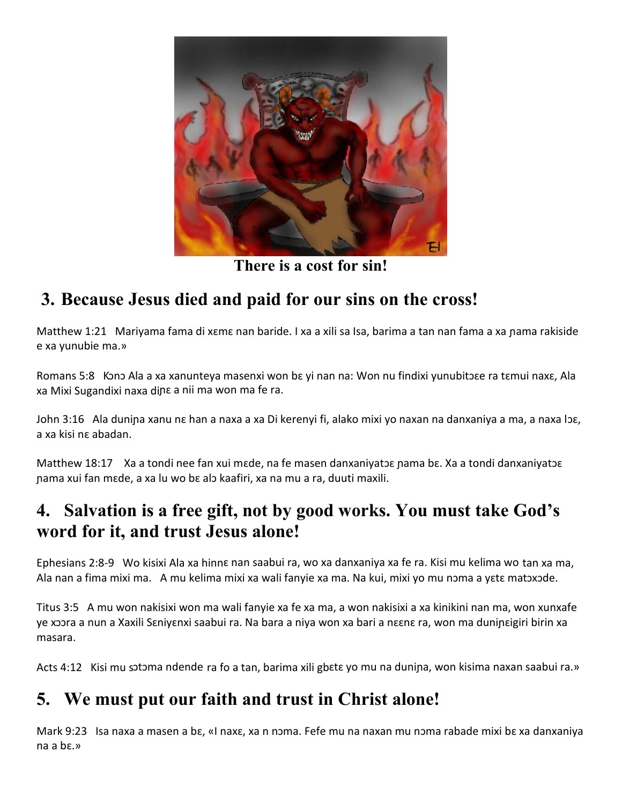

**There is a cost for sin!**

# **3. Because Jesus died and paid for our sins on the cross!**

Matthew 1:21 Mariyama fama di xɛmɛ nan baride. I xa a xili sa Isa, barima a tan nan fama a xa ɲama rakiside e xa yunubie ma.»

Romans 5:8 Kono Ala a xa xanunteya masenxi won bɛ yi nan na: Won nu findixi yunubitose ra tɛmui naxɛ, Ala xa Mixi Sugandixi naxa dina a nii ma won ma fe ra.

John 3:16 Ala duniɲa xanu nɛ han a naxa a xa Di kerenyi fi, alako mixi yo naxan na danxaniya a ma, a naxa lɔɛ, a xa kisi nɛ abadan.

Matthew 18:17 Xa a tondi nee fan xui mɛde, na fe masen danxaniyatɔɛ nama bɛ. Xa a tondi danxaniyatɔɛ ɲama xui fan mɛde, a xa lu wo bɛ alɔ kaafiri, xa na mu a ra, duuti maxili.

## **4. Salvation is a free gift, not by good works. You must take God's word for it, and trust Jesus alone!**

Ephesians 2:8-9 Wo kisixi Ala xa hinnɛ nan saabui ra, wo xa danxaniya xa fe ra. Kisi mu kelima wo tan xa ma, Ala nan a fima mixi ma. A mu kelima mixi xa wali fanyie xa ma. Na kui, mixi yo mu nɔma a yɛtɛ matɔxɔde.

Titus 3:5 A mu won nakisixi won ma wali fanyie xa fe xa ma, a won nakisixi a xa kinikini nan ma, won xunxafe ye xɔɔra a nun a Xaxili Sɛniyɛnxi saabui ra. Na bara a niya won xa bari a nɛɛnɛ ra, won ma duniɲɛigiri birin xa masara.

Acts 4:12 Kisi mu sotoma ndende ra fo a tan, barima xili gbɛtɛ yo mu na dunina, won kisima naxan saabui ra.»

# **5. We must put our faith and trust in Christ alone!**

Mark 9:23 Isa naxa a masen a bɛ, «I naxɛ, xa n nɔma. Fefe mu na naxan mu nɔma rabade mixi bɛ xa danxaniya na a bɛ.»